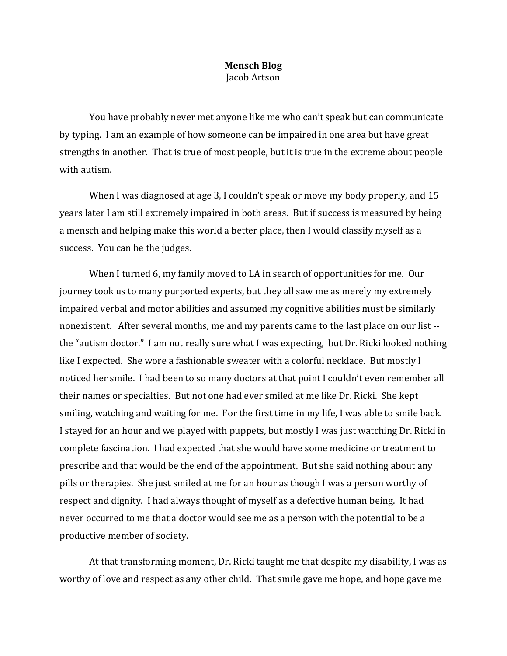## **Mensch Blog** Jacob Artson

You have probably never met anyone like me who can't speak but can communicate by typing. I am an example of how someone can be impaired in one area but have great strengths in another. That is true of most people, but it is true in the extreme about people with autism.

When I was diagnosed at age 3, I couldn't speak or move my body properly, and 15 years later I am still extremely impaired in both areas. But if success is measured by being a mensch and helping make this world a better place, then I would classify myself as a success. You can be the judges.

When I turned 6, my family moved to LA in search of opportunities for me. Our journey took us to many purported experts, but they all saw me as merely my extremely impaired verbal and motor abilities and assumed my cognitive abilities must be similarly nonexistent. After several months, me and my parents came to the last place on our list - the "autism doctor." I am not really sure what I was expecting, but Dr. Ricki looked nothing like I expected. She wore a fashionable sweater with a colorful necklace. But mostly I noticed her smile. I had been to so many doctors at that point I couldn't even remember all their names or specialties. But not one had ever smiled at me like Dr. Ricki. She kept smiling, watching and waiting for me. For the first time in my life, I was able to smile back. I stayed for an hour and we played with puppets, but mostly I was just watching Dr. Ricki in complete fascination. I had expected that she would have some medicine or treatment to prescribe and that would be the end of the appointment. But she said nothing about any pills or therapies. She just smiled at me for an hour as though I was a person worthy of respect and dignity. I had always thought of myself as a defective human being. It had never occurred to me that a doctor would see me as a person with the potential to be a productive member of society.

At that transforming moment, Dr. Ricki taught me that despite my disability, I was as worthy of love and respect as any other child. That smile gave me hope, and hope gave me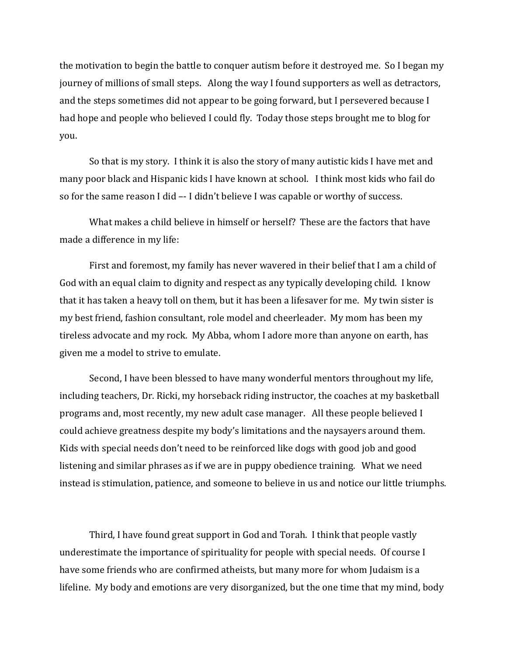the motivation to begin the battle to conquer autism before it destroyed me. So I began my journey of millions of small steps. Along the way I found supporters as well as detractors, and the steps sometimes did not appear to be going forward, but I persevered because I had hope and people who believed I could fly. Today those steps brought me to blog for you.

So that is my story. I think it is also the story of many autistic kids I have met and many poor black and Hispanic kids I have known at school. I think most kids who fail do so for the same reason I did –- I didn't believe I was capable or worthy of success.

What makes a child believe in himself or herself? These are the factors that have made a difference in my life:

First and foremost, my family has never wavered in their belief that I am a child of God with an equal claim to dignity and respect as any typically developing child. I know that it has taken a heavy toll on them, but it has been a lifesaver for me. My twin sister is my best friend, fashion consultant, role model and cheerleader. My mom has been my tireless advocate and my rock. My Abba, whom I adore more than anyone on earth, has given me a model to strive to emulate.

Second, I have been blessed to have many wonderful mentors throughout my life, including teachers, Dr. Ricki, my horseback riding instructor, the coaches at my basketball programs and, most recently, my new adult case manager. All these people believed I could achieve greatness despite my body's limitations and the naysayers around them. Kids with special needs don't need to be reinforced like dogs with good job and good listening and similar phrases as if we are in puppy obedience training. What we need instead is stimulation, patience, and someone to believe in us and notice our little triumphs.

Third, I have found great support in God and Torah. I think that people vastly underestimate the importance of spirituality for people with special needs. Of course I have some friends who are confirmed atheists, but many more for whom Judaism is a lifeline. My body and emotions are very disorganized, but the one time that my mind, body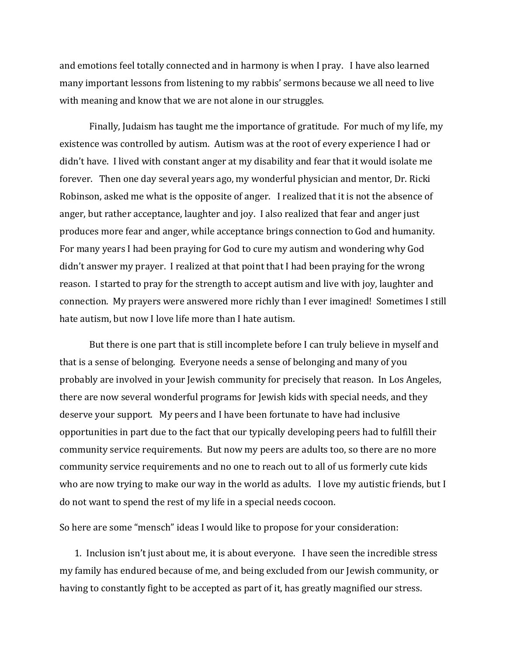and emotions feel totally connected and in harmony is when I pray. I have also learned many important lessons from listening to my rabbis' sermons because we all need to live with meaning and know that we are not alone in our struggles.

Finally, Judaism has taught me the importance of gratitude. For much of my life, my existence was controlled by autism. Autism was at the root of every experience I had or didn't have. I lived with constant anger at my disability and fear that it would isolate me forever. Then one day several years ago, my wonderful physician and mentor, Dr. Ricki Robinson, asked me what is the opposite of anger. I realized that it is not the absence of anger, but rather acceptance, laughter and joy. I also realized that fear and anger just produces more fear and anger, while acceptance brings connection to God and humanity. For many years I had been praying for God to cure my autism and wondering why God didn't answer my prayer. I realized at that point that I had been praying for the wrong reason. I started to pray for the strength to accept autism and live with joy, laughter and connection. My prayers were answered more richly than I ever imagined! Sometimes I still hate autism, but now I love life more than I hate autism.

But there is one part that is still incomplete before I can truly believe in myself and that is a sense of belonging. Everyone needs a sense of belonging and many of you probably are involved in your Jewish community for precisely that reason. In Los Angeles, there are now several wonderful programs for Jewish kids with special needs, and they deserve your support. My peers and I have been fortunate to have had inclusive opportunities in part due to the fact that our typically developing peers had to fulfill their community service requirements. But now my peers are adults too, so there are no more community service requirements and no one to reach out to all of us formerly cute kids who are now trying to make our way in the world as adults. I love my autistic friends, but I do not want to spend the rest of my life in a special needs cocoon.

So here are some "mensch" ideas I would like to propose for your consideration:

1. Inclusion isn't just about me, it is about everyone. I have seen the incredible stress my family has endured because of me, and being excluded from our Jewish community, or having to constantly fight to be accepted as part of it, has greatly magnified our stress.